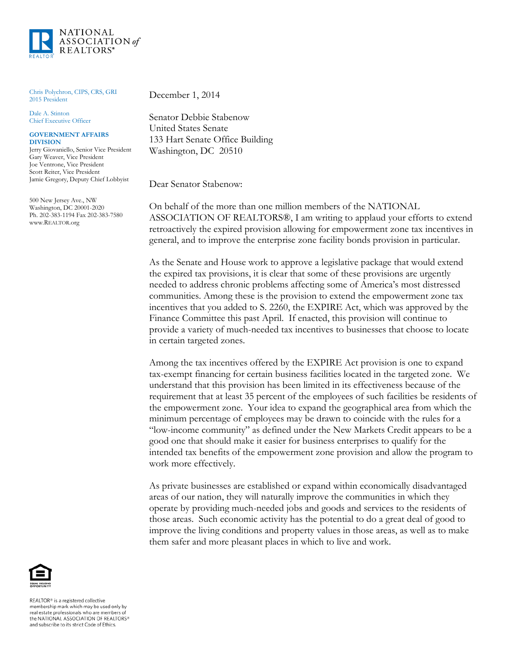

Chris Polychron, CIPS, CRS, GRI 2015 President

Dale A. Stinton Chief Executive Officer

## **GOVERNMENT AFFAIRS DIVISION**

Jerry Giovaniello, Senior Vice President Gary Weaver, Vice President Joe Ventrone, Vice President Scott Reiter, Vice President Jamie Gregory, Deputy Chief Lobbyist

500 New Jersey Ave., NW Washington, DC 20001-2020 Ph. 202-383-1194 Fax 202-383-7580 www.REALTOR.org

December 1, 2014

Senator Debbie Stabenow United States Senate 133 Hart Senate Office Building Washington, DC 20510

Dear Senator Stabenow:

On behalf of the more than one million members of the NATIONAL ASSOCIATION OF REALTORS®, I am writing to applaud your efforts to extend retroactively the expired provision allowing for empowerment zone tax incentives in general, and to improve the enterprise zone facility bonds provision in particular.

As the Senate and House work to approve a legislative package that would extend the expired tax provisions, it is clear that some of these provisions are urgently needed to address chronic problems affecting some of America's most distressed communities. Among these is the provision to extend the empowerment zone tax incentives that you added to S. 2260, the EXPIRE Act, which was approved by the Finance Committee this past April. If enacted, this provision will continue to provide a variety of much-needed tax incentives to businesses that choose to locate in certain targeted zones.

Among the tax incentives offered by the EXPIRE Act provision is one to expand tax-exempt financing for certain business facilities located in the targeted zone. We understand that this provision has been limited in its effectiveness because of the requirement that at least 35 percent of the employees of such facilities be residents of the empowerment zone. Your idea to expand the geographical area from which the minimum percentage of employees may be drawn to coincide with the rules for a "low-income community" as defined under the New Markets Credit appears to be a good one that should make it easier for business enterprises to qualify for the intended tax benefits of the empowerment zone provision and allow the program to work more effectively.

As private businesses are established or expand within economically disadvantaged areas of our nation, they will naturally improve the communities in which they operate by providing much-needed jobs and goods and services to the residents of those areas. Such economic activity has the potential to do a great deal of good to improve the living conditions and property values in those areas, as well as to make them safer and more pleasant places in which to live and work.



REALTOR® is a registered collective membership mark which may be used only by real estate professionals who are members of the NATIONAL ASSOCIATION OF REALTORS® and subscribe to its strict Code of Ethics